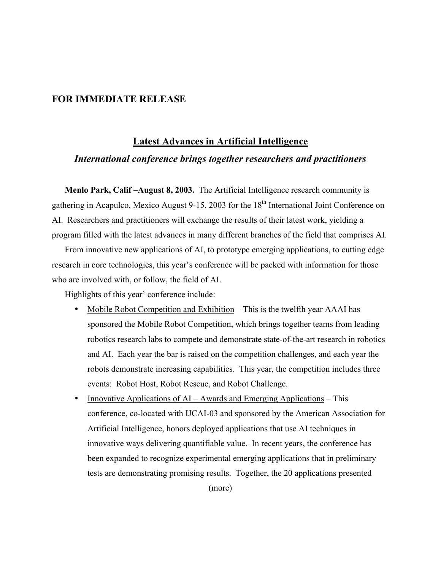## **FOR IMMEDIATE RELEASE**

## **Latest Advances in Artificial Intelligence** *International conference brings together researchers and practitioners*

**Menlo Park, Calif –August 8, 2003.** The Artificial Intelligence research community is gathering in Acapulco, Mexico August 9-15, 2003 for the 18<sup>th</sup> International Joint Conference on AI. Researchers and practitioners will exchange the results of their latest work, yielding a program filled with the latest advances in many different branches of the field that comprises AI.

From innovative new applications of AI, to prototype emerging applications, to cutting edge research in core technologies, this year's conference will be packed with information for those who are involved with, or follow, the field of AI.

Highlights of this year' conference include:

Mobile Robot Competition and Exhibition – This is the twelfth year AAAI has sponsored the Mobile Robot Competition, which brings together teams from leading robotics research labs to compete and demonstrate state-of-the-art research in robotics and AI. Each year the bar is raised on the competition challenges, and each year the robots demonstrate increasing capabilities. This year, the competition includes three events: Robot Host, Robot Rescue, and Robot Challenge.

Innovative Applications of AI – Awards and Emerging Applications – This conference, co-located with IJCAI-03 and sponsored by the American Association for Artificial Intelligence, honors deployed applications that use AI techniques in innovative ways delivering quantifiable value. In recent years, the conference has been expanded to recognize experimental emerging applications that in preliminary tests are demonstrating promising results. Together, the 20 applications presented

(more)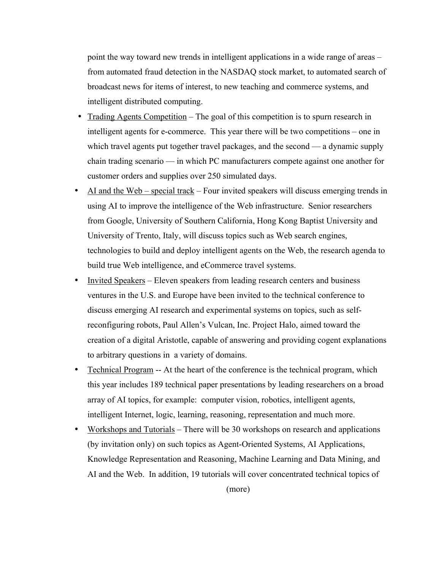point the way toward new trends in intelligent applications in a wide range of areas – from automated fraud detection in the NASDAQ stock market, to automated search of broadcast news for items of interest, to new teaching and commerce systems, and intelligent distributed computing.

Trading Agents Competition – The goal of this competition is to spurn research in intelligent agents for e-commerce. This year there will be two competitions – one in which travel agents put together travel packages, and the second — a dynamic supply chain trading scenario — in which PC manufacturers compete against one another for customer orders and supplies over 250 simulated days.

AI and the Web – special track – Four invited speakers will discuss emerging trends in using AI to improve the intelligence of the Web infrastructure. Senior researchers from Google, University of Southern California, Hong Kong Baptist University and University of Trento, Italy, will discuss topics such as Web search engines, technologies to build and deploy intelligent agents on the Web, the research agenda to build true Web intelligence, and eCommerce travel systems.

Invited Speakers – Eleven speakers from leading research centers and business ventures in the U.S. and Europe have been invited to the technical conference to discuss emerging AI research and experimental systems on topics, such as selfreconfiguring robots, Paul Allen's Vulcan, Inc. Project Halo, aimed toward the creation of a digital Aristotle, capable of answering and providing cogent explanations to arbitrary questions in a variety of domains.

Technical Program -- At the heart of the conference is the technical program, which this year includes 189 technical paper presentations by leading researchers on a broad array of AI topics, for example: computer vision, robotics, intelligent agents, intelligent Internet, logic, learning, reasoning, representation and much more. Workshops and Tutorials – There will be 30 workshops on research and applications (by invitation only) on such topics as Agent-Oriented Systems, AI Applications, Knowledge Representation and Reasoning, Machine Learning and Data Mining, and AI and the Web. In addition, 19 tutorials will cover concentrated technical topics of

(more)